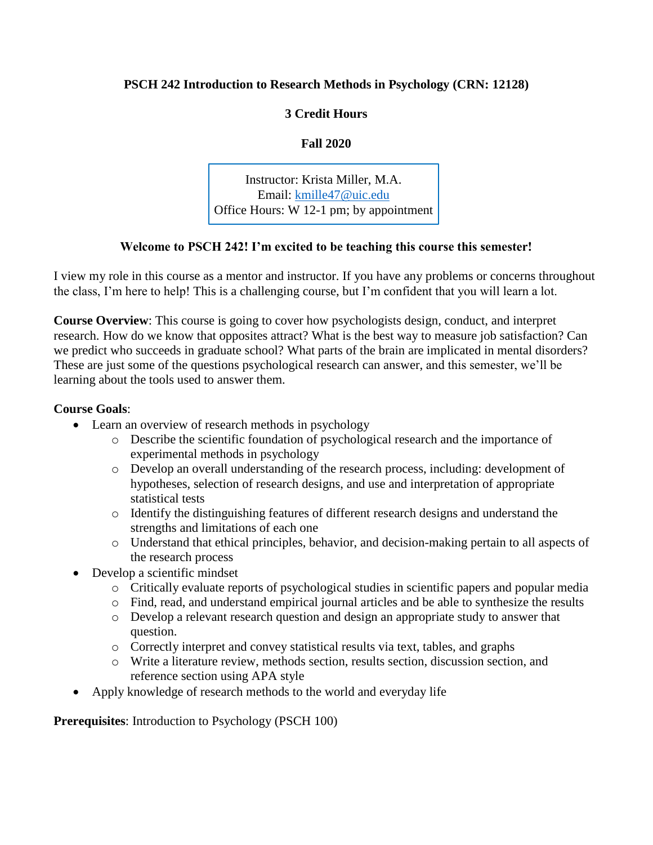## **PSCH 242 Introduction to Research Methods in Psychology (CRN: 12128)**

# **3 Credit Hours**

**Fall 2020**

Instructor: Krista Miller, M.A. Email: kmille47@uic.edu Office Hours: W 12-1 pm; by appointment

# **Welcome to PSCH 242! I'm excited [to b](mailto:kmille47@uic.edu)e teaching this course this semester!**

I view my role in this course as a mentor and instructor. If you have any problems or concerns throughout the class, I'm here to help! This is a challenging course, but I'm confident that you will learn a lot.

**Course Overview**: This course is going to cover how psychologists design, conduct, and interpret research. How do we know that opposites attract? What is the best way to measure job satisfaction? Can we predict who succeeds in graduate school? What parts of the brain are implicated in mental disorders? These are just some of the questions psychological research can answer, and this semester, we'll be learning about the tools used to answer them.

## **Course Goals**:

- Learn an overview of research methods in psychology
	- o Describe the scientific foundation of psychological research and the importance of experimental methods in psychology
	- o Develop an overall understanding of the research process, including: development of hypotheses, selection of research designs, and use and interpretation of appropriate statistical tests
	- o Identify the distinguishing features of different research designs and understand the strengths and limitations of each one
	- o Understand that ethical principles, behavior, and decision-making pertain to all aspects of the research process
- Develop a scientific mindset
	- o Critically evaluate reports of psychological studies in scientific papers and popular media
	- o Find, read, and understand empirical journal articles and be able to synthesize the results
	- o Develop a relevant research question and design an appropriate study to answer that question.
	- o Correctly interpret and convey statistical results via text, tables, and graphs
	- o Write a literature review, methods section, results section, discussion section, and reference section using APA style
- Apply knowledge of research methods to the world and everyday life

**Prerequisites**: Introduction to Psychology (PSCH 100)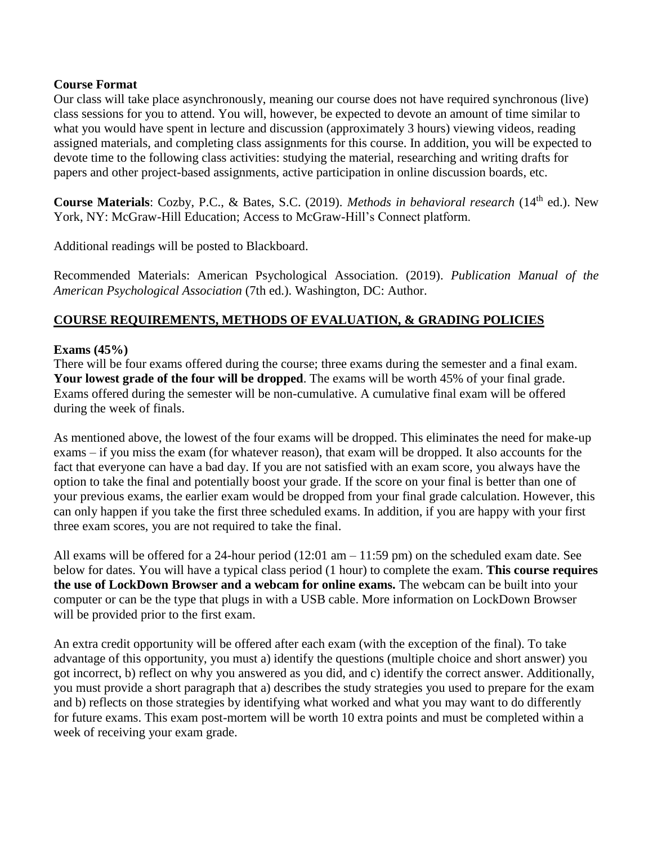### **Course Format**

Our class will take place asynchronously, meaning our course does not have required synchronous (live) class sessions for you to attend. You will, however, be expected to devote an amount of time similar to what you would have spent in lecture and discussion (approximately 3 hours) viewing videos, reading assigned materials, and completing class assignments for this course. In addition, you will be expected to devote time to the following class activities: studying the material, researching and writing drafts for papers and other project-based assignments, active participation in online discussion boards, etc.

**Course Materials**: Cozby, P.C., & Bates, S.C. (2019). *Methods in behavioral research* (14<sup>th</sup> ed.). New York, NY: McGraw-Hill Education; Access to McGraw-Hill's Connect platform.

Additional readings will be posted to Blackboard.

Recommended Materials: American Psychological Association. (2019). *Publication Manual of the American Psychological Association* (7th ed.). Washington, DC: Author.

# **COURSE REQUIREMENTS, METHODS OF EVALUATION, & GRADING POLICIES**

### **Exams (45%)**

There will be four exams offered during the course; three exams during the semester and a final exam. **Your lowest grade of the four will be dropped**. The exams will be worth 45% of your final grade. Exams offered during the semester will be non-cumulative. A cumulative final exam will be offered during the week of finals.

As mentioned above, the lowest of the four exams will be dropped. This eliminates the need for make-up exams – if you miss the exam (for whatever reason), that exam will be dropped. It also accounts for the fact that everyone can have a bad day. If you are not satisfied with an exam score, you always have the option to take the final and potentially boost your grade. If the score on your final is better than one of your previous exams, the earlier exam would be dropped from your final grade calculation. However, this can only happen if you take the first three scheduled exams. In addition, if you are happy with your first three exam scores, you are not required to take the final.

All exams will be offered for a 24-hour period  $(12:01 \text{ am} - 11:59 \text{ pm})$  on the scheduled exam date. See below for dates. You will have a typical class period (1 hour) to complete the exam. **This course requires the use of LockDown Browser and a webcam for online exams.** The webcam can be built into your computer or can be the type that plugs in with a USB cable. More information on LockDown Browser will be provided prior to the first exam.

An extra credit opportunity will be offered after each exam (with the exception of the final). To take advantage of this opportunity, you must a) identify the questions (multiple choice and short answer) you got incorrect, b) reflect on why you answered as you did, and c) identify the correct answer. Additionally, you must provide a short paragraph that a) describes the study strategies you used to prepare for the exam and b) reflects on those strategies by identifying what worked and what you may want to do differently for future exams. This exam post-mortem will be worth 10 extra points and must be completed within a week of receiving your exam grade.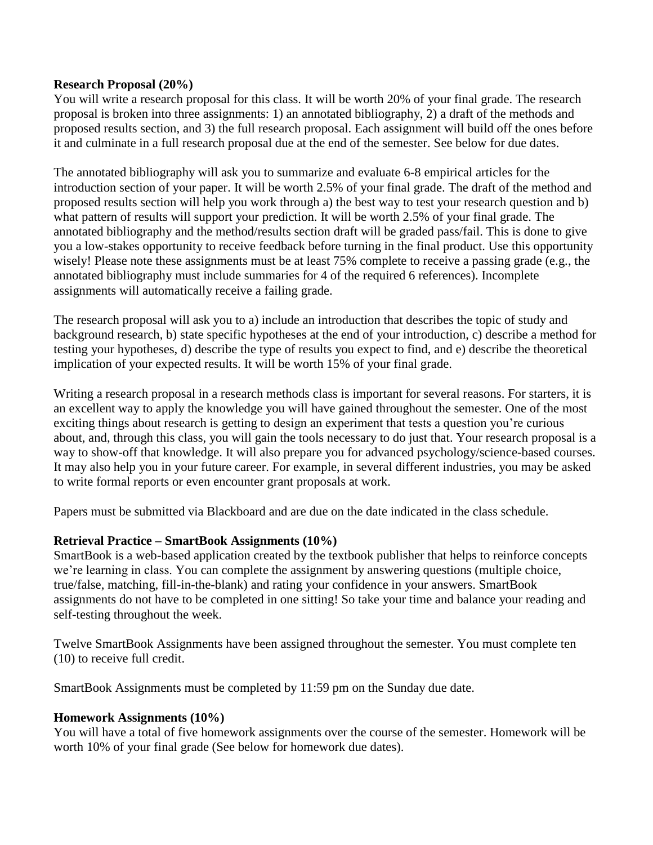#### **Research Proposal (20%)**

You will write a research proposal for this class. It will be worth 20% of your final grade. The research proposal is broken into three assignments: 1) an annotated bibliography, 2) a draft of the methods and proposed results section, and 3) the full research proposal. Each assignment will build off the ones before it and culminate in a full research proposal due at the end of the semester. See below for due dates.

The annotated bibliography will ask you to summarize and evaluate 6-8 empirical articles for the introduction section of your paper. It will be worth 2.5% of your final grade. The draft of the method and proposed results section will help you work through a) the best way to test your research question and b) what pattern of results will support your prediction. It will be worth 2.5% of your final grade. The annotated bibliography and the method/results section draft will be graded pass/fail. This is done to give you a low-stakes opportunity to receive feedback before turning in the final product. Use this opportunity wisely! Please note these assignments must be at least 75% complete to receive a passing grade (e.g., the annotated bibliography must include summaries for 4 of the required 6 references). Incomplete assignments will automatically receive a failing grade.

The research proposal will ask you to a) include an introduction that describes the topic of study and background research, b) state specific hypotheses at the end of your introduction, c) describe a method for testing your hypotheses, d) describe the type of results you expect to find, and e) describe the theoretical implication of your expected results. It will be worth 15% of your final grade.

Writing a research proposal in a research methods class is important for several reasons. For starters, it is an excellent way to apply the knowledge you will have gained throughout the semester. One of the most exciting things about research is getting to design an experiment that tests a question you're curious about, and, through this class, you will gain the tools necessary to do just that. Your research proposal is a way to show-off that knowledge. It will also prepare you for advanced psychology/science-based courses. It may also help you in your future career. For example, in several different industries, you may be asked to write formal reports or even encounter grant proposals at work.

Papers must be submitted via Blackboard and are due on the date indicated in the class schedule.

## **Retrieval Practice – SmartBook Assignments (10%)**

SmartBook is a web-based application created by the textbook publisher that helps to reinforce concepts we're learning in class. You can complete the assignment by answering questions (multiple choice, true/false, matching, fill-in-the-blank) and rating your confidence in your answers. SmartBook assignments do not have to be completed in one sitting! So take your time and balance your reading and self-testing throughout the week.

Twelve SmartBook Assignments have been assigned throughout the semester. You must complete ten (10) to receive full credit.

SmartBook Assignments must be completed by 11:59 pm on the Sunday due date.

#### **Homework Assignments (10%)**

You will have a total of five homework assignments over the course of the semester. Homework will be worth 10% of your final grade (See below for homework due dates).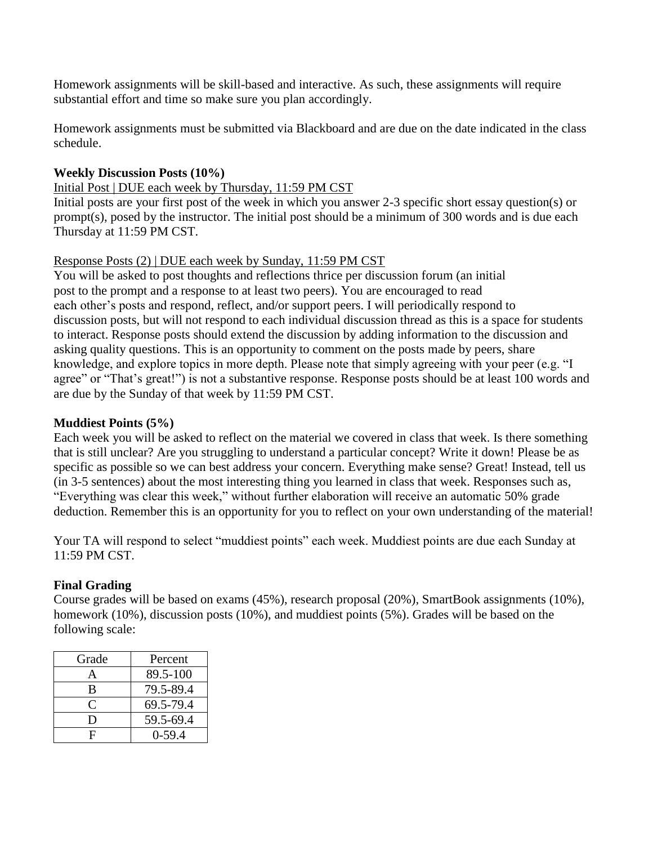Homework assignments will be skill-based and interactive. As such, these assignments will require substantial effort and time so make sure you plan accordingly.

Homework assignments must be submitted via Blackboard and are due on the date indicated in the class schedule.

## **Weekly Discussion Posts (10%)**

# Initial Post | DUE each week by Thursday, 11:59 PM CST

Initial posts are your first post of the week in which you answer 2-3 specific short essay question(s) or prompt(s), posed by the instructor. The initial post should be a minimum of 300 words and is due each Thursday at 11:59 PM CST.

# Response Posts (2) | DUE each week by Sunday, 11:59 PM CST

You will be asked to post thoughts and reflections thrice per discussion forum (an initial post to the prompt and a response to at least two peers). You are encouraged to read each other's posts and respond, reflect, and/or support peers. I will periodically respond to discussion posts, but will not respond to each individual discussion thread as this is a space for students to interact. Response posts should extend the discussion by adding information to the discussion and asking quality questions. This is an opportunity to comment on the posts made by peers, share knowledge, and explore topics in more depth. Please note that simply agreeing with your peer (e.g. "I agree" or "That's great!") is not a substantive response. Response posts should be at least 100 words and are due by the Sunday of that week by 11:59 PM CST.

## **Muddiest Points (5%)**

Each week you will be asked to reflect on the material we covered in class that week. Is there something that is still unclear? Are you struggling to understand a particular concept? Write it down! Please be as specific as possible so we can best address your concern. Everything make sense? Great! Instead, tell us (in 3-5 sentences) about the most interesting thing you learned in class that week. Responses such as, "Everything was clear this week," without further elaboration will receive an automatic 50% grade deduction. Remember this is an opportunity for you to reflect on your own understanding of the material!

Your TA will respond to select "muddiest points" each week. Muddiest points are due each Sunday at 11:59 PM CST.

## **Final Grading**

Course grades will be based on exams (45%), research proposal (20%), SmartBook assignments (10%), homework (10%), discussion posts (10%), and muddiest points (5%). Grades will be based on the following scale:

| Grade     | Percent   |
|-----------|-----------|
|           | 89.5-100  |
| B         | 79.5-89.4 |
| $\subset$ | 69.5-79.4 |
| Ð         | 59.5-69.4 |
| F         | $0-59.4$  |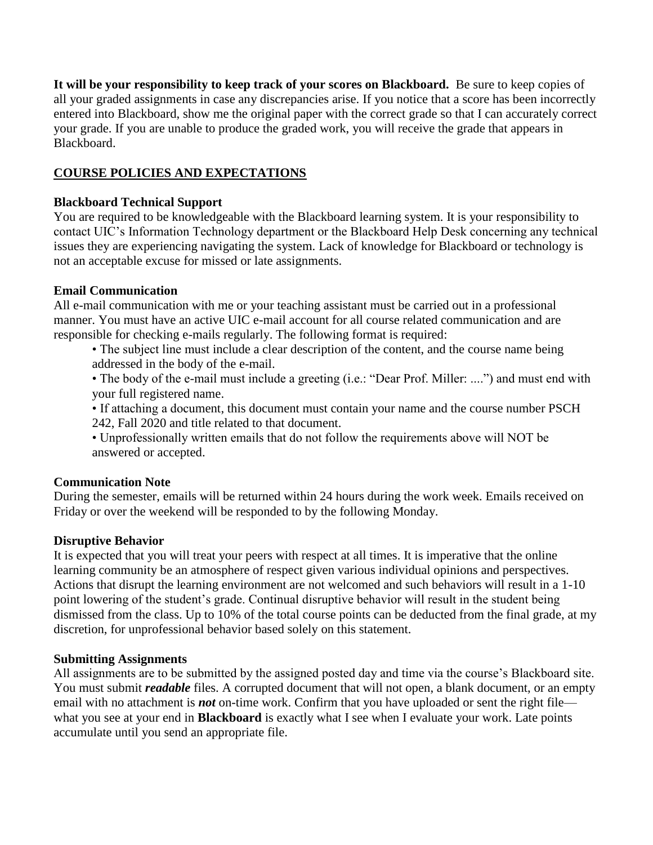**It will be your responsibility to keep track of your scores on Blackboard.** Be sure to keep copies of all your graded assignments in case any discrepancies arise. If you notice that a score has been incorrectly entered into Blackboard, show me the original paper with the correct grade so that I can accurately correct your grade. If you are unable to produce the graded work, you will receive the grade that appears in Blackboard.

# **COURSE POLICIES AND EXPECTATIONS**

### **Blackboard Technical Support**

You are required to be knowledgeable with the Blackboard learning system. It is your responsibility to contact UIC's Information Technology department or the Blackboard Help Desk concerning any technical issues they are experiencing navigating the system. Lack of knowledge for Blackboard or technology is not an acceptable excuse for missed or late assignments.

### **Email Communication**

All e-mail communication with me or your teaching assistant must be carried out in a professional manner. You must have an active UIC e-mail account for all course related communication and are responsible for checking e-mails regularly. The following format is required:

• The subject line must include a clear description of the content, and the course name being addressed in the body of the e-mail.

• The body of the e-mail must include a greeting (i.e.: "Dear Prof. Miller: ....") and must end with your full registered name.

• If attaching a document, this document must contain your name and the course number PSCH 242, Fall 2020 and title related to that document.

• Unprofessionally written emails that do not follow the requirements above will NOT be answered or accepted.

#### **Communication Note**

During the semester, emails will be returned within 24 hours during the work week. Emails received on Friday or over the weekend will be responded to by the following Monday.

## **Disruptive Behavior**

It is expected that you will treat your peers with respect at all times. It is imperative that the online learning community be an atmosphere of respect given various individual opinions and perspectives. Actions that disrupt the learning environment are not welcomed and such behaviors will result in a 1-10 point lowering of the student's grade. Continual disruptive behavior will result in the student being dismissed from the class. Up to 10% of the total course points can be deducted from the final grade, at my discretion, for unprofessional behavior based solely on this statement.

#### **Submitting Assignments**

All assignments are to be submitted by the assigned posted day and time via the course's Blackboard site. You must submit *readable* files. A corrupted document that will not open, a blank document, or an empty email with no attachment is **not** on-time work. Confirm that you have uploaded or sent the right file what you see at your end in **Blackboard** is exactly what I see when I evaluate your work. Late points accumulate until you send an appropriate file.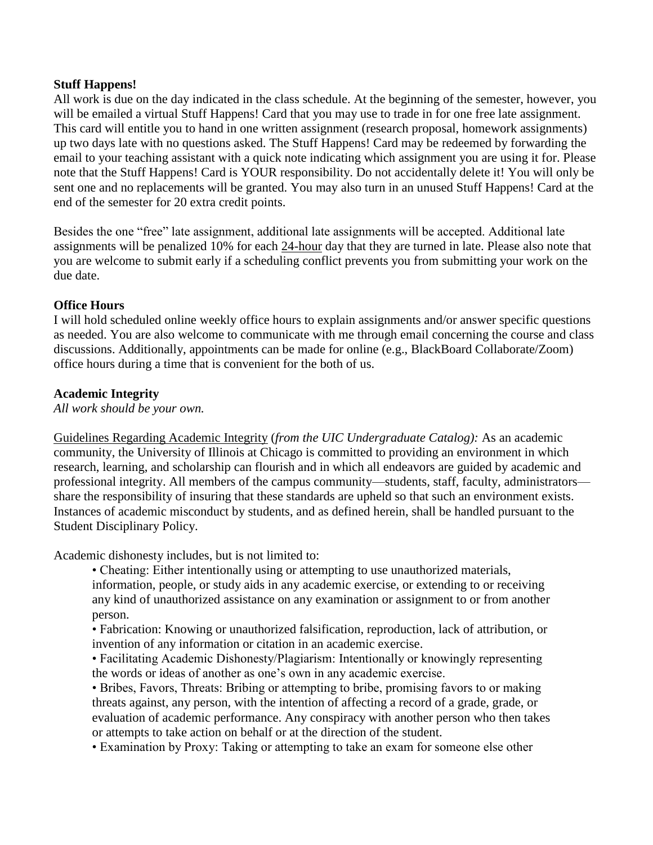#### **Stuff Happens!**

All work is due on the day indicated in the class schedule. At the beginning of the semester, however, you will be emailed a virtual Stuff Happens! Card that you may use to trade in for one free late assignment. This card will entitle you to hand in one written assignment (research proposal, homework assignments) up two days late with no questions asked. The Stuff Happens! Card may be redeemed by forwarding the email to your teaching assistant with a quick note indicating which assignment you are using it for. Please note that the Stuff Happens! Card is YOUR responsibility. Do not accidentally delete it! You will only be sent one and no replacements will be granted. You may also turn in an unused Stuff Happens! Card at the end of the semester for 20 extra credit points.

Besides the one "free" late assignment, additional late assignments will be accepted. Additional late assignments will be penalized 10% for each 24-hour day that they are turned in late. Please also note that you are welcome to submit early if a scheduling conflict prevents you from submitting your work on the due date.

#### **Office Hours**

I will hold scheduled online weekly office hours to explain assignments and/or answer specific questions as needed. You are also welcome to communicate with me through email concerning the course and class discussions. Additionally, appointments can be made for online (e.g., BlackBoard Collaborate/Zoom) office hours during a time that is convenient for the both of us.

### **Academic Integrity**

*All work should be your own.*

Guidelines Regarding Academic Integrity (*from the UIC Undergraduate Catalog):* As an academic community, the University of Illinois at Chicago is committed to providing an environment in which research, learning, and scholarship can flourish and in which all endeavors are guided by academic and professional integrity. All members of the campus community—students, staff, faculty, administrators share the responsibility of insuring that these standards are upheld so that such an environment exists. Instances of academic misconduct by students, and as defined herein, shall be handled pursuant to the Student Disciplinary Policy.

Academic dishonesty includes, but is not limited to:

• Cheating: Either intentionally using or attempting to use unauthorized materials, information, people, or study aids in any academic exercise, or extending to or receiving any kind of unauthorized assistance on any examination or assignment to or from another person.

• Fabrication: Knowing or unauthorized falsification, reproduction, lack of attribution, or invention of any information or citation in an academic exercise.

• Facilitating Academic Dishonesty/Plagiarism: Intentionally or knowingly representing the words or ideas of another as one's own in any academic exercise.

• Bribes, Favors, Threats: Bribing or attempting to bribe, promising favors to or making threats against, any person, with the intention of affecting a record of a grade, grade, or evaluation of academic performance. Any conspiracy with another person who then takes or attempts to take action on behalf or at the direction of the student.

• Examination by Proxy: Taking or attempting to take an exam for someone else other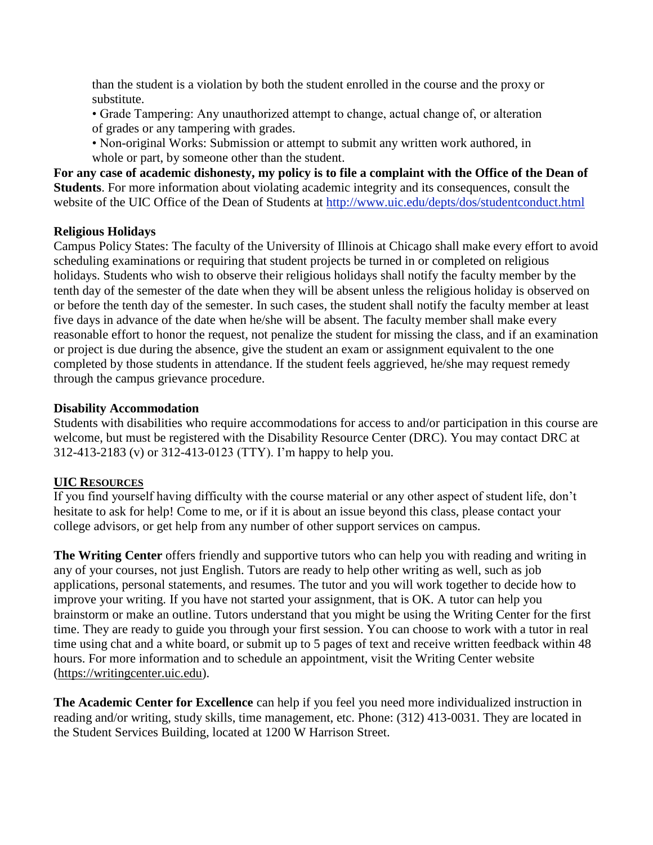than the student is a violation by both the student enrolled in the course and the proxy or substitute.

- Grade Tampering: Any unauthorized attempt to change, actual change of, or alteration of grades or any tampering with grades.
- Non-original Works: Submission or attempt to submit any written work authored, in whole or part, by someone other than the student.

**For any case of academic dishonesty, my policy is to file a complaint with the Office of the Dean of Students**. For more information about violating academic integrity and its consequences, consult the website of the UIC Office of the Dean of Students at<http://www.uic.edu/depts/dos/studentconduct.html>

## **Religious Holidays**

Campus Policy States: The faculty of the University of Illinois at Chicago shall make every effort to avoid scheduling examinations or requiring that student projects be turned in or completed on religious holidays. Students who wish to observe their religious holidays shall notify the faculty member by the tenth day of the semester of the date when they will be absent unless the religious holiday is observed on or before the tenth day of the semester. In such cases, the student shall notify the faculty member at least five days in advance of the date when he/she will be absent. The faculty member shall make every reasonable effort to honor the request, not penalize the student for missing the class, and if an examination or project is due during the absence, give the student an exam or assignment equivalent to the one completed by those students in attendance. If the student feels aggrieved, he/she may request remedy through the campus grievance procedure.

### **Disability Accommodation**

Students with disabilities who require accommodations for access to and/or participation in this course are welcome, but must be registered with the Disability Resource Center (DRC). You may contact DRC at 312-413-2183 (v) or 312-413-0123 (TTY). I'm happy to help you.

## **UIC RESOURCES**

If you find yourself having difficulty with the course material or any other aspect of student life, don't hesitate to ask for help! Come to me, or if it is about an issue beyond this class, please contact your college advisors, or get help from any number of other support services on campus.

**The Writing Center** offers friendly and supportive tutors who can help you with reading and writing in any of your courses, not just English. Tutors are ready to help other writing as well, such as job applications, personal statements, and resumes. The tutor and you will work together to decide how to improve your writing. If you have not started your assignment, that is OK. A tutor can help you brainstorm or make an outline. Tutors understand that you might be using the Writing Center for the first time. They are ready to guide you through your first session. You can choose to work with a tutor in real time using chat and a white board, or submit up to 5 pages of text and receive written feedback within 48 hours. For more information and to schedule an appointment, visit the Writing Center website [\(https://writingcenter.uic.edu\)](https://writingcenter.uic.edu/).

**The Academic Center for Excellence** can help if you feel you need more individualized instruction in reading and/or writing, study skills, time management, etc. Phone: (312) 413-0031. They are located in the Student Services Building, located at 1200 W Harrison Street.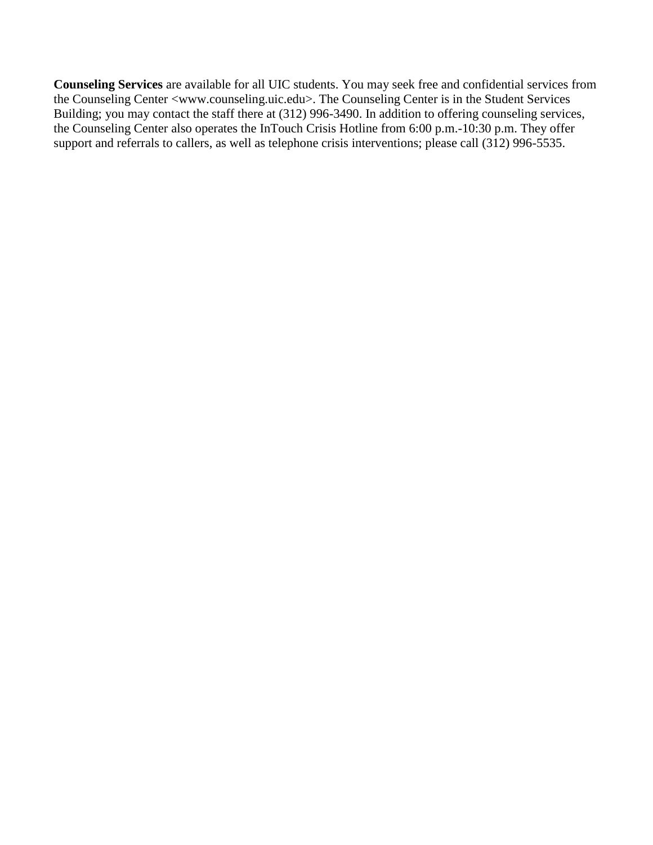**Counseling Services** are available for all UIC students. You may seek free and confidential services from the Counseling Center <www.counseling.uic.edu>. The Counseling Center is in the Student Services Building; you may contact the staff there at (312) 996-3490. In addition to offering counseling services, the Counseling Center also operates the InTouch Crisis Hotline from 6:00 p.m.-10:30 p.m. They offer support and referrals to callers, as well as telephone crisis interventions; please call (312) 996-5535.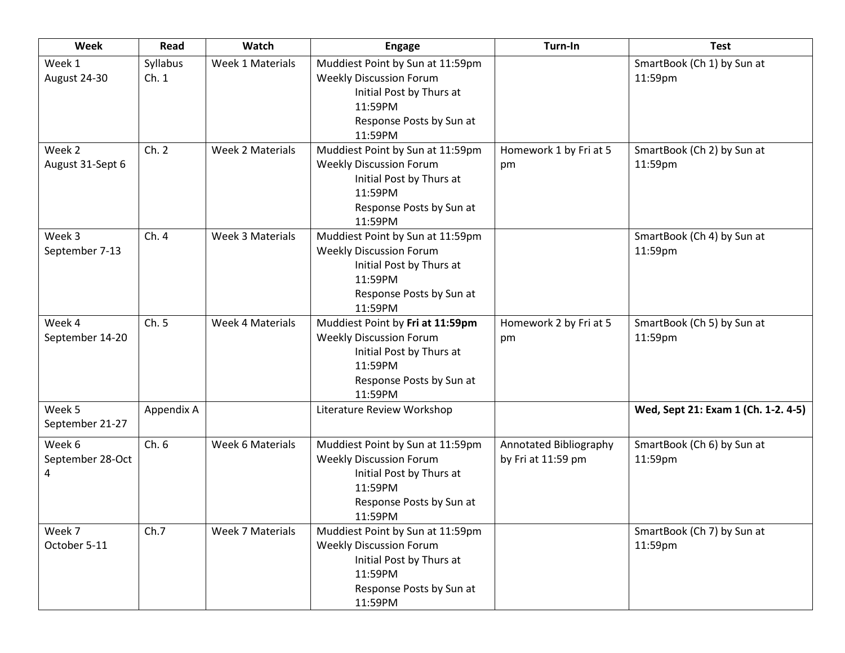| Week                            | Read             | Watch                   | <b>Engage</b>                                                                                                                                    | Turn-In                                      | <b>Test</b>                           |
|---------------------------------|------------------|-------------------------|--------------------------------------------------------------------------------------------------------------------------------------------------|----------------------------------------------|---------------------------------------|
| Week 1<br>August 24-30          | Syllabus<br>Ch.1 | Week 1 Materials        | Muddiest Point by Sun at 11:59pm<br><b>Weekly Discussion Forum</b><br>Initial Post by Thurs at<br>11:59PM<br>Response Posts by Sun at<br>11:59PM |                                              | SmartBook (Ch 1) by Sun at<br>11:59pm |
| Week 2<br>August 31-Sept 6      | Ch. 2            | Week 2 Materials        | Muddiest Point by Sun at 11:59pm<br><b>Weekly Discussion Forum</b><br>Initial Post by Thurs at<br>11:59PM<br>Response Posts by Sun at<br>11:59PM | Homework 1 by Fri at 5<br>pm                 | SmartBook (Ch 2) by Sun at<br>11:59pm |
| Week 3<br>September 7-13        | Ch.4             | Week 3 Materials        | Muddiest Point by Sun at 11:59pm<br><b>Weekly Discussion Forum</b><br>Initial Post by Thurs at<br>11:59PM<br>Response Posts by Sun at<br>11:59PM |                                              | SmartBook (Ch 4) by Sun at<br>11:59pm |
| Week 4<br>September 14-20       | Ch.5             | <b>Week 4 Materials</b> | Muddiest Point by Fri at 11:59pm<br><b>Weekly Discussion Forum</b><br>Initial Post by Thurs at<br>11:59PM<br>Response Posts by Sun at<br>11:59PM | Homework 2 by Fri at 5<br>pm                 | SmartBook (Ch 5) by Sun at<br>11:59pm |
| Week 5<br>September 21-27       | Appendix A       |                         | Literature Review Workshop                                                                                                                       |                                              | Wed, Sept 21: Exam 1 (Ch. 1-2. 4-5)   |
| Week 6<br>September 28-Oct<br>4 | Ch.6             | Week 6 Materials        | Muddiest Point by Sun at 11:59pm<br><b>Weekly Discussion Forum</b><br>Initial Post by Thurs at<br>11:59PM<br>Response Posts by Sun at<br>11:59PM | Annotated Bibliography<br>by Fri at 11:59 pm | SmartBook (Ch 6) by Sun at<br>11:59pm |
| Week 7<br>October 5-11          | Ch.7             | <b>Week 7 Materials</b> | Muddiest Point by Sun at 11:59pm<br><b>Weekly Discussion Forum</b><br>Initial Post by Thurs at<br>11:59PM<br>Response Posts by Sun at<br>11:59PM |                                              | SmartBook (Ch 7) by Sun at<br>11:59pm |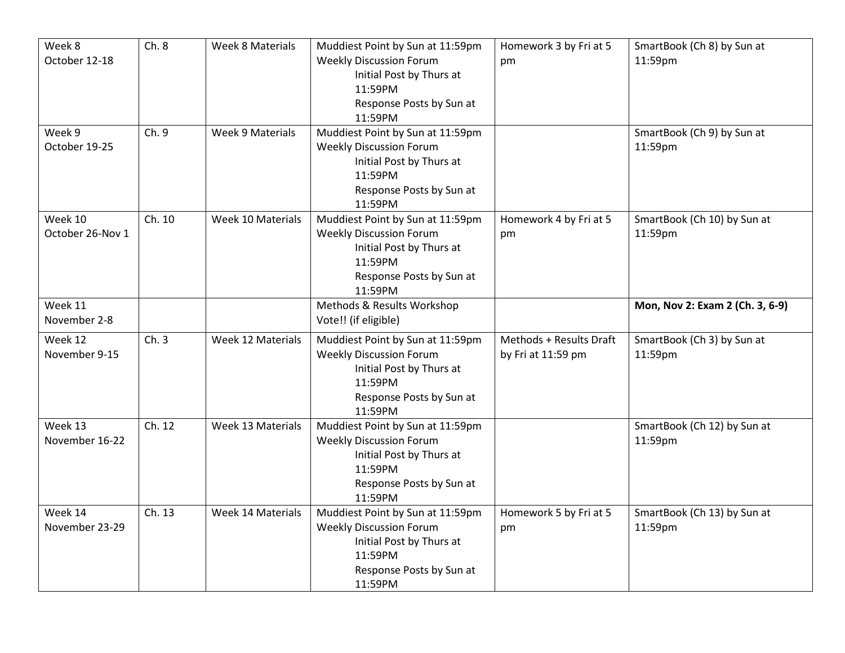| Week 8<br>October 12-18     | Ch.8   | <b>Week 8 Materials</b> | Muddiest Point by Sun at 11:59pm<br><b>Weekly Discussion Forum</b><br>Initial Post by Thurs at<br>11:59PM<br>Response Posts by Sun at<br>11:59PM | Homework 3 by Fri at 5<br>pm                  | SmartBook (Ch 8) by Sun at<br>11:59pm  |
|-----------------------------|--------|-------------------------|--------------------------------------------------------------------------------------------------------------------------------------------------|-----------------------------------------------|----------------------------------------|
| Week 9<br>October 19-25     | Ch. 9  | Week 9 Materials        | Muddiest Point by Sun at 11:59pm<br><b>Weekly Discussion Forum</b><br>Initial Post by Thurs at<br>11:59PM<br>Response Posts by Sun at<br>11:59PM |                                               | SmartBook (Ch 9) by Sun at<br>11:59pm  |
| Week 10<br>October 26-Nov 1 | Ch. 10 | Week 10 Materials       | Muddiest Point by Sun at 11:59pm<br><b>Weekly Discussion Forum</b><br>Initial Post by Thurs at<br>11:59PM<br>Response Posts by Sun at<br>11:59PM | Homework 4 by Fri at 5<br>pm                  | SmartBook (Ch 10) by Sun at<br>11:59pm |
| Week 11<br>November 2-8     |        |                         | Methods & Results Workshop<br>Vote!! (if eligible)                                                                                               |                                               | Mon, Nov 2: Exam 2 (Ch. 3, 6-9)        |
| Week 12<br>November 9-15    | Ch.3   | Week 12 Materials       | Muddiest Point by Sun at 11:59pm<br><b>Weekly Discussion Forum</b><br>Initial Post by Thurs at<br>11:59PM<br>Response Posts by Sun at<br>11:59PM | Methods + Results Draft<br>by Fri at 11:59 pm | SmartBook (Ch 3) by Sun at<br>11:59pm  |
| Week 13<br>November 16-22   | Ch. 12 | Week 13 Materials       | Muddiest Point by Sun at 11:59pm<br><b>Weekly Discussion Forum</b><br>Initial Post by Thurs at<br>11:59PM<br>Response Posts by Sun at<br>11:59PM |                                               | SmartBook (Ch 12) by Sun at<br>11:59pm |
| Week 14<br>November 23-29   | Ch. 13 | Week 14 Materials       | Muddiest Point by Sun at 11:59pm<br><b>Weekly Discussion Forum</b><br>Initial Post by Thurs at<br>11:59PM<br>Response Posts by Sun at<br>11:59PM | Homework 5 by Fri at 5<br>pm                  | SmartBook (Ch 13) by Sun at<br>11:59pm |